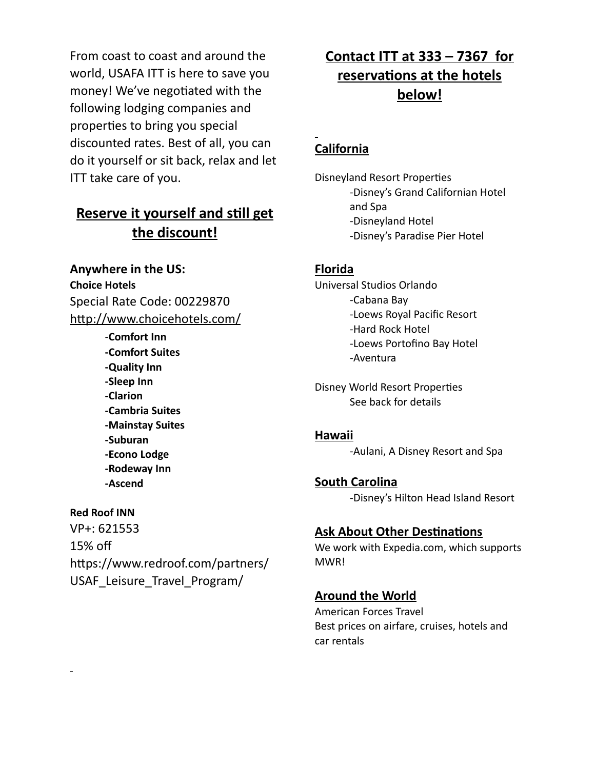From coast to coast and around the world, USAFA ITT is here to save you money! We've negotiated with the following lodging companies and properties to bring you special discounted rates. Best of all, you can do it yourself or sit back, relax and let ITT take care of you.

## **Reserve it yourself and still get the discount!**

# **Anywhere in the US:**

**Choice Hotels**  Special Rate Code: 00229870 http://www.choicehotels.com/

> -**Comfort Inn -Comfort Suites -Quality Inn -Sleep Inn -Clarion -Cambria Suites -Mainstay Suites -Suburan -Econo Lodge -Rodeway Inn -Ascend**

#### **Red Roof INN**

VP+: 621553 15% off https://www.redroof.com/partners/ USAF\_Leisure\_Travel\_Program/

## **Contact ITT at 333 – 7367 for reservations at the hotels below!**

### **California**

Disneyland Resort Properties -Disney's Grand Californian Hotel and Spa -Disneyland Hotel -Disney's Paradise Pier Hotel

#### **Florida**

Universal Studios Orlando -Cabana Bay -Loews Royal Pacific Resort -Hard Rock Hotel -Loews Portofino Bay Hotel -Aventura

Disney World Resort Properties See back for details

#### **Hawaii**

-Aulani, A Disney Resort and Spa

#### **South Carolina**

-Disney's Hilton Head Island Resort

#### **Ask About Other Destinations**

We work with Expedia.com, which supports MWR!

#### **Around the World**

American Forces Travel Best prices on airfare, cruises, hotels and car rentals